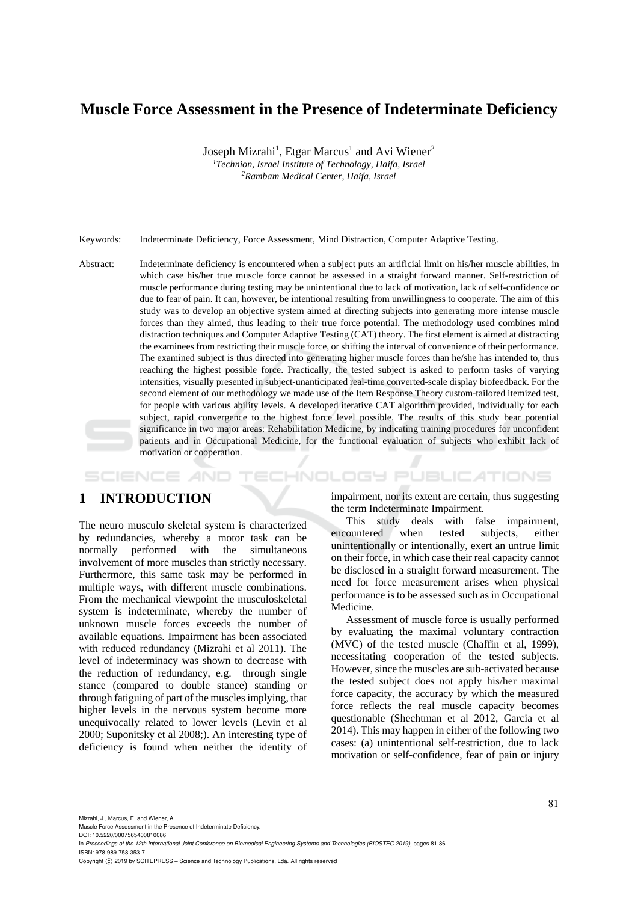# **Muscle Force Assessment in the Presence of Indeterminate Deficiency**

Joseph Mizrahi<sup>1</sup>, Etgar Marcus<sup>1</sup> and Avi Wiener<sup>2</sup> <sup>1</sup> Technion, Israel Institute of Technology, Haifa, Israel<br><sup>2</sup> Rambam Medical Center, Haifa, Israel *Rambam Medical Center, Haifa, Israel* 

Keywords: Indeterminate Deficiency, Force Assessment, Mind Distraction, Computer Adaptive Testing.

Abstract: Indeterminate deficiency is encountered when a subject puts an artificial limit on his/her muscle abilities, in which case his/her true muscle force cannot be assessed in a straight forward manner. Self-restriction of muscle performance during testing may be unintentional due to lack of motivation, lack of self-confidence or due to fear of pain. It can, however, be intentional resulting from unwillingness to cooperate. The aim of this study was to develop an objective system aimed at directing subjects into generating more intense muscle forces than they aimed, thus leading to their true force potential. The methodology used combines mind distraction techniques and Computer Adaptive Testing (CAT) theory. The first element is aimed at distracting the examinees from restricting their muscle force, or shifting the interval of convenience of their performance. The examined subject is thus directed into generating higher muscle forces than he/she has intended to, thus reaching the highest possible force. Practically, the tested subject is asked to perform tasks of varying intensities, visually presented in subject-unanticipated real-time converted-scale display biofeedback. For the second element of our methodology we made use of the Item Response Theory custom-tailored itemized test, for people with various ability levels. A developed iterative CAT algorithm provided, individually for each subject, rapid convergence to the highest force level possible. The results of this study bear potential significance in two major areas: Rehabilitation Medicine, by indicating training procedures for unconfident patients and in Occupational Medicine, for the functional evaluation of subjects who exhibit lack of motivation or cooperation.

## **1 INTRODUCTION**

SCIENCE *A*ND

The neuro musculo skeletal system is characterized by redundancies, whereby a motor task can be normally performed with the simultaneous involvement of more muscles than strictly necessary. Furthermore, this same task may be performed in multiple ways, with different muscle combinations. From the mechanical viewpoint the musculoskeletal system is indeterminate, whereby the number of unknown muscle forces exceeds the number of available equations. Impairment has been associated with reduced redundancy (Mizrahi et al 2011). The level of indeterminacy was shown to decrease with the reduction of redundancy, e.g. through single stance (compared to double stance) standing or through fatiguing of part of the muscles implying, that higher levels in the nervous system become more unequivocally related to lower levels (Levin et al 2000; Suponitsky et al 2008;). An interesting type of deficiency is found when neither the identity of impairment, nor its extent are certain, thus suggesting the term Indeterminate Impairment.

HNOLOGY PUBLICATIONS

This study deals with false impairment, encountered when tested subjects, either unintentionally or intentionally, exert an untrue limit on their force, in which case their real capacity cannot be disclosed in a straight forward measurement. The need for force measurement arises when physical performance is to be assessed such as in Occupational Medicine.

Assessment of muscle force is usually performed by evaluating the maximal voluntary contraction (MVC) of the tested muscle (Chaffin et al, 1999), necessitating cooperation of the tested subjects. However, since the muscles are sub-activated because the tested subject does not apply his/her maximal force capacity, the accuracy by which the measured force reflects the real muscle capacity becomes questionable (Shechtman et al 2012, Garcia et al 2014). This may happen in either of the following two cases: (a) unintentional self-restriction, due to lack motivation or self-confidence, fear of pain or injury

Mizrahi, J., Marcus, E. and Wiener, A.

Muscle Force Assessment in the Presence of Indeterminate Deficiency. DOI: 10.5220/0007565400810086

In *Proceedings of the 12th International Joint Conference on Biomedical Engineering Systems and Technologies (BIOSTEC 2019)*, pages 81-86 ISBN: 978-989-758-353-7

Copyright © 2019 by SCITEPRESS - Science and Technology Publications, Lda. All rights reserved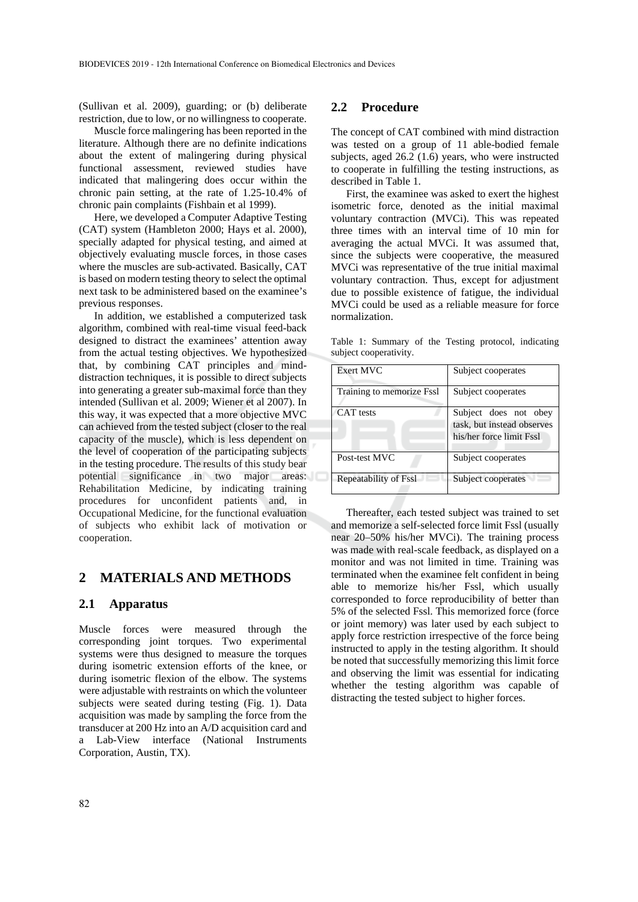(Sullivan et al. 2009), guarding; or (b) deliberate restriction, due to low, or no willingness to cooperate.

Muscle force malingering has been reported in the literature. Although there are no definite indications about the extent of malingering during physical functional assessment, reviewed studies have indicated that malingering does occur within the chronic pain setting, at the rate of 1.25-10.4% of chronic pain complaints (Fishbain et al 1999).

Here, we developed a Computer Adaptive Testing (CAT) system (Hambleton 2000; Hays et al. 2000), specially adapted for physical testing, and aimed at objectively evaluating muscle forces, in those cases where the muscles are sub-activated. Basically, CAT is based on modern testing theory to select the optimal next task to be administered based on the examinee's previous responses.

In addition, we established a computerized task algorithm, combined with real-time visual feed-back designed to distract the examinees' attention away from the actual testing objectives. We hypothesized that, by combining CAT principles and minddistraction techniques, it is possible to direct subjects into generating a greater sub-maximal force than they intended (Sullivan et al. 2009; Wiener et al 2007). In this way, it was expected that a more objective MVC can achieved from the tested subject (closer to the real capacity of the muscle), which is less dependent on the level of cooperation of the participating subjects in the testing procedure. The results of this study bear potential significance in two major areas: Rehabilitation Medicine, by indicating training procedures for unconfident patients and, in Occupational Medicine, for the functional evaluation of subjects who exhibit lack of motivation or cooperation.

### **2 MATERIALS AND METHODS**

#### **2.1 Apparatus**

Muscle forces were measured through the corresponding joint torques. Two experimental systems were thus designed to measure the torques during isometric extension efforts of the knee, or during isometric flexion of the elbow. The systems were adjustable with restraints on which the volunteer subjects were seated during testing (Fig. 1). Data acquisition was made by sampling the force from the transducer at 200 Hz into an A/D acquisition card and a Lab-View interface (National Instruments Corporation, Austin, TX).

#### **2.2 Procedure**

The concept of CAT combined with mind distraction was tested on a group of 11 able-bodied female subjects, aged 26.2 (1.6) years, who were instructed to cooperate in fulfilling the testing instructions, as described in Table 1.

First, the examinee was asked to exert the highest isometric force, denoted as the initial maximal voluntary contraction (MVCi). This was repeated three times with an interval time of 10 min for averaging the actual MVCi. It was assumed that, since the subjects were cooperative, the measured MVCi was representative of the true initial maximal voluntary contraction. Thus, except for adjustment due to possible existence of fatigue, the individual MVCi could be used as a reliable measure for force normalization.

Table 1: Summary of the Testing protocol, indicating subject cooperativity.

| Exert MVC                 | Subject cooperates                                                              |  |  |
|---------------------------|---------------------------------------------------------------------------------|--|--|
| Training to memorize Fssl | Subject cooperates                                                              |  |  |
| CAT tests                 | Subject does not obey<br>task, but instead observes<br>his/her force limit Fssl |  |  |
| Post-test MVC             | Subject cooperates                                                              |  |  |
| Repeatability of Fssl     | Subject cooperates                                                              |  |  |

Thereafter, each tested subject was trained to set and memorize a self-selected force limit Fssl (usually near 20–50% his/her MVCi). The training process was made with real-scale feedback, as displayed on a monitor and was not limited in time. Training was terminated when the examinee felt confident in being able to memorize his/her Fssl, which usually corresponded to force reproducibility of better than 5% of the selected Fssl. This memorized force (force or joint memory) was later used by each subject to apply force restriction irrespective of the force being instructed to apply in the testing algorithm. It should be noted that successfully memorizing this limit force and observing the limit was essential for indicating whether the testing algorithm was capable of distracting the tested subject to higher forces.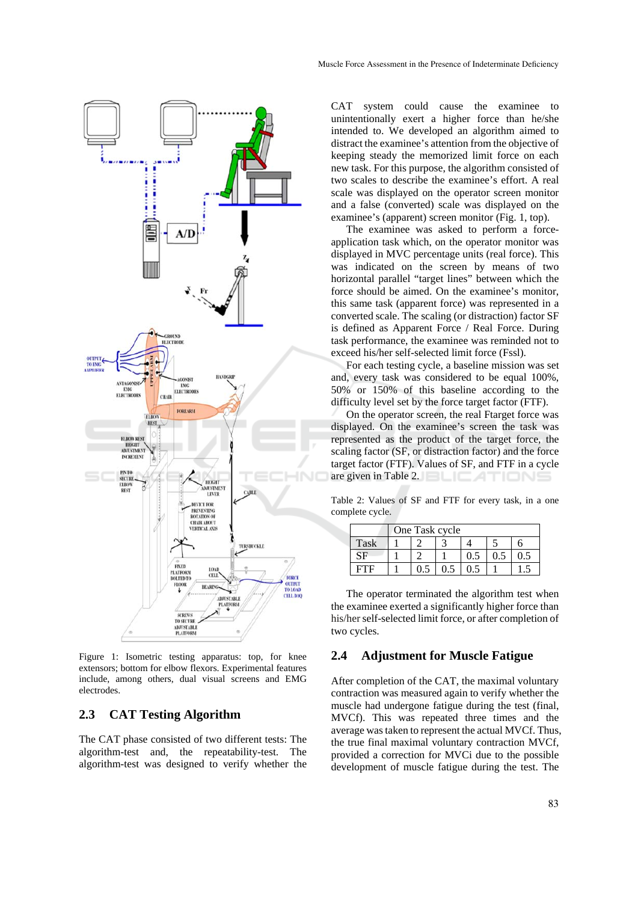

Figure 1: Isometric testing apparatus: top, for knee extensors; bottom for elbow flexors. Experimental features include, among others, dual visual screens and EMG electrodes.

#### **2.3 CAT Testing Algorithm**

The CAT phase consisted of two different tests: The algorithm-test and, the repeatability-test. The algorithm-test was designed to verify whether the CAT system could cause the examinee to unintentionally exert a higher force than he/she intended to. We developed an algorithm aimed to distract the examinee's attention from the objective of keeping steady the memorized limit force on each new task. For this purpose, the algorithm consisted of two scales to describe the examinee's effort. A real scale was displayed on the operator screen monitor and a false (converted) scale was displayed on the examinee's (apparent) screen monitor (Fig. 1, top).

The examinee was asked to perform a forceapplication task which, on the operator monitor was displayed in MVC percentage units (real force). This was indicated on the screen by means of two horizontal parallel "target lines" between which the force should be aimed. On the examinee's monitor, this same task (apparent force) was represented in a converted scale. The scaling (or distraction) factor SF is defined as Apparent Force / Real Force. During task performance, the examinee was reminded not to exceed his/her self-selected limit force (Fssl).

For each testing cycle, a baseline mission was set and, every task was considered to be equal 100%, 50% or 150% of this baseline according to the difficulty level set by the force target factor (FTF).

On the operator screen, the real Ftarget force was displayed. On the examinee's screen the task was represented as the product of the target force, the scaling factor (SF, or distraction factor) and the force target factor (FTF). Values of SF, and FTF in a cycle are given in Table 2. **EXAMPLE** 

Table 2: Values of SF and FTF for every task, in a one complete cycle.

|      | One Task cycle |  |  |  |  |  |
|------|----------------|--|--|--|--|--|
| Task |                |  |  |  |  |  |
|      |                |  |  |  |  |  |
|      |                |  |  |  |  |  |

The operator terminated the algorithm test when the examinee exerted a significantly higher force than his/her self-selected limit force, or after completion of two cycles.

## **2.4 Adjustment for Muscle Fatigue**

After completion of the CAT, the maximal voluntary contraction was measured again to verify whether the muscle had undergone fatigue during the test (final, MVCf). This was repeated three times and the average was taken to represent the actual MVCf. Thus, the true final maximal voluntary contraction MVCf, provided a correction for MVCi due to the possible development of muscle fatigue during the test. The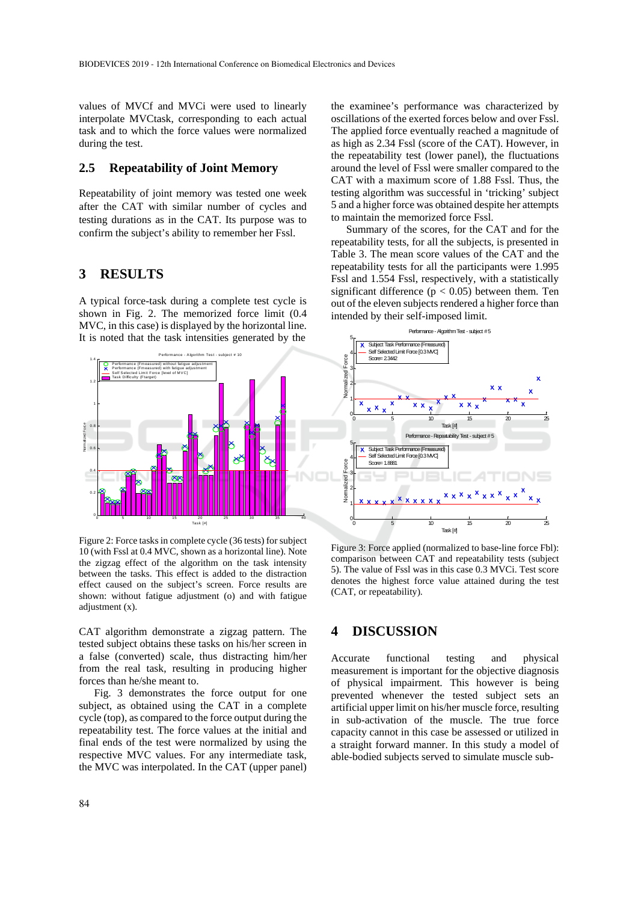values of MVCf and MVCi were used to linearly interpolate MVCtask, corresponding to each actual task and to which the force values were normalized during the test.

#### **2.5 Repeatability of Joint Memory**

Repeatability of joint memory was tested one week after the CAT with similar number of cycles and testing durations as in the CAT. Its purpose was to confirm the subject's ability to remember her Fssl.

## **3 RESULTS**

A typical force-task during a complete test cycle is shown in Fig. 2. The memorized force limit (0.4 MVC, in this case) is displayed by the horizontal line. It is noted that the task intensities generated by the



Figure 2: Force tasks in complete cycle (36 tests) for subject 10 (with Fssl at 0.4 MVC, shown as a horizontal line). Note the zigzag effect of the algorithm on the task intensity between the tasks. This effect is added to the distraction effect caused on the subject's screen. Force results are shown: without fatigue adjustment (o) and with fatigue adjustment (x).

CAT algorithm demonstrate a zigzag pattern. The tested subject obtains these tasks on his/her screen in a false (converted) scale, thus distracting him/her from the real task, resulting in producing higher forces than he/she meant to.

Fig. 3 demonstrates the force output for one subject, as obtained using the CAT in a complete cycle (top), as compared to the force output during the repeatability test. The force values at the initial and final ends of the test were normalized by using the respective MVC values. For any intermediate task, the MVC was interpolated. In the CAT (upper panel)

the examinee's performance was characterized by oscillations of the exerted forces below and over Fssl. The applied force eventually reached a magnitude of as high as 2.34 Fssl (score of the CAT). However, in the repeatability test (lower panel), the fluctuations around the level of Fssl were smaller compared to the CAT with a maximum score of 1.88 Fssl. Thus, the testing algorithm was successful in 'tricking' subject 5 and a higher force was obtained despite her attempts to maintain the memorized force Fssl.

Summary of the scores, for the CAT and for the repeatability tests, for all the subjects, is presented in Table 3. The mean score values of the CAT and the repeatability tests for all the participants were 1.995 Fssl and 1.554 Fssl, respectively, with a statistically significant difference ( $p < 0.05$ ) between them. Ten out of the eleven subjects rendered a higher force than intended by their self-imposed limit.



Figure 3: Force applied (normalized to base-line force Fbl): comparison between CAT and repeatability tests (subject 5). The value of Fssl was in this case 0.3 MVCi. Test score denotes the highest force value attained during the test (CAT, or repeatability).

## **4 DISCUSSION**

Accurate functional testing and physical measurement is important for the objective diagnosis of physical impairment. This however is being prevented whenever the tested subject sets an artificial upper limit on his/her muscle force, resulting in sub-activation of the muscle. The true force capacity cannot in this case be assessed or utilized in a straight forward manner. In this study a model of able-bodied subjects served to simulate muscle sub-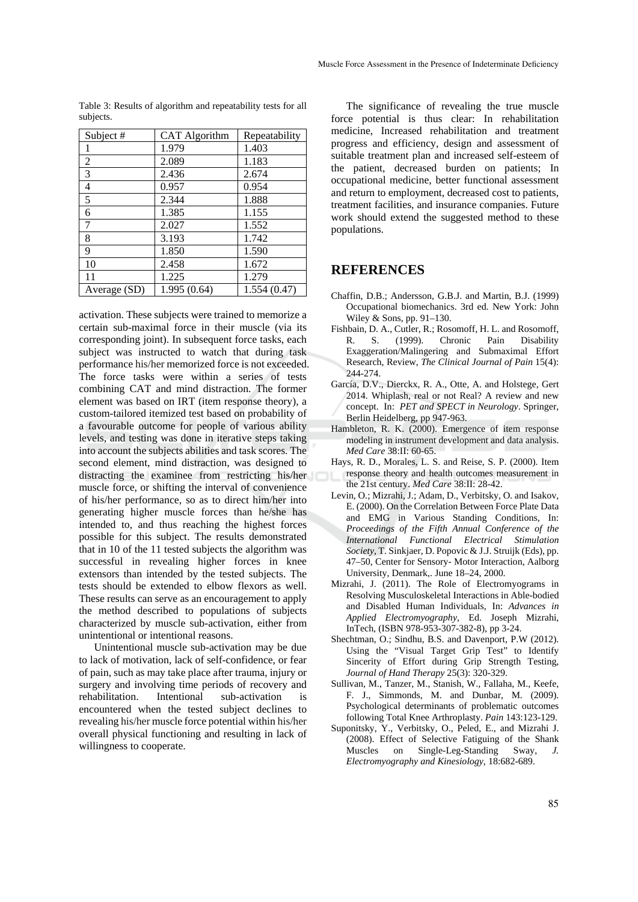| Subject #    | <b>CAT Algorithm</b> | Repeatability |
|--------------|----------------------|---------------|
|              | 1.979                | 1.403         |
| 2            | 2.089                | 1.183         |
| 3            | 2.436                | 2.674         |
| 4            | 0.957                | 0.954         |
| 5            | 2.344                | 1.888         |
| 6            | 1.385                | 1.155         |
| 7            | 2.027                | 1.552         |
| 8            | 3.193                | 1.742         |
| 9            | 1.850                | 1.590         |
| 10           | 2.458                | 1.672         |
| 11           | 1.225                | 1.279         |
| Average (SD) | 1.995(0.64)          | 1.554(0.47)   |

Table 3: Results of algorithm and repeatability tests for all subjects.

activation. These subjects were trained to memorize a certain sub-maximal force in their muscle (via its corresponding joint). In subsequent force tasks, each subject was instructed to watch that during task performance his/her memorized force is not exceeded. The force tasks were within a series of tests combining CAT and mind distraction. The former element was based on IRT (item response theory), a custom-tailored itemized test based on probability of a favourable outcome for people of various ability levels, and testing was done in iterative steps taking into account the subjects abilities and task scores. The second element, mind distraction, was designed to distracting the examinee from restricting his/her muscle force, or shifting the interval of convenience of his/her performance, so as to direct him/her into generating higher muscle forces than he/she has intended to, and thus reaching the highest forces possible for this subject. The results demonstrated that in 10 of the 11 tested subjects the algorithm was successful in revealing higher forces in knee extensors than intended by the tested subjects. The tests should be extended to elbow flexors as well. These results can serve as an encouragement to apply the method described to populations of subjects characterized by muscle sub-activation, either from unintentional or intentional reasons.

Unintentional muscle sub-activation may be due to lack of motivation, lack of self-confidence, or fear of pain, such as may take place after trauma, injury or surgery and involving time periods of recovery and rehabilitation. Intentional sub-activation is encountered when the tested subject declines to revealing his/her muscle force potential within his/her overall physical functioning and resulting in lack of willingness to cooperate.

The significance of revealing the true muscle force potential is thus clear: In rehabilitation medicine, Increased rehabilitation and treatment progress and efficiency, design and assessment of suitable treatment plan and increased self-esteem of the patient, decreased burden on patients; In occupational medicine, better functional assessment and return to employment, decreased cost to patients, treatment facilities, and insurance companies. Future work should extend the suggested method to these populations.

## **REFERENCES**

- Chaffin, D.B.; Andersson, G.B.J. and Martin, B.J. (1999) Occupational biomechanics. 3rd ed. New York: John Wiley & Sons, pp. 91–130.
- Fishbain, D. A., Cutler, R.; Rosomoff, H. L. and Rosomoff, R. S. (1999). Chronic Pain Disability Exaggeration/Malingering and Submaximal Effort Research, Review, *The Clinical Journal of Pain* 15(4): 244-274.
- García, D.V., Dierckx, R. A., Otte, A. and Holstege, Gert 2014. Whiplash, real or not Real? A review and new concept. In: *PET and SPECT in Neurology*. Springer, Berlin Heidelberg, pp 947-963.
- Hambleton, R. K. (2000). Emergence of item response modeling in instrument development and data analysis. *Med Care* 38:II: 60-65.
- Hays, R. D., Morales, L. S. and Reise, S. P. (2000). Item response theory and health outcomes measurement in the 21st century. *Med Care* 38:II: 28-42.
- Levin, O.; Mizrahi, J.; Adam, D., Verbitsky, O. and Isakov, E. (2000). On the Correlation Between Force Plate Data and EMG in Various Standing Conditions, In: *Proceedings of the Fifth Annual Conference of the International Functional Electrical Stimulation Society*, T. Sinkjaer, D. Popovic & J.J. Struijk (Eds), pp. 47–50, Center for Sensory- Motor Interaction, Aalborg University, Denmark,. June 18–24, 2000.
- Mizrahi, J. (2011). The Role of Electromyograms in Resolving Musculoskeletal Interactions in Able-bodied and Disabled Human Individuals, In: *Advances in Applied Electromyography*, Ed. Joseph Mizrahi, InTech, (ISBN 978-953-307-382-8), pp 3-24.
- Shechtman, O.; Sindhu, B.S. and Davenport, P.W (2012). Using the "Visual Target Grip Test" to Identify Sincerity of Effort during Grip Strength Testing, *Journal of Hand Therapy* 25(3): 320-329.
- Sullivan, M., Tanzer, M., Stanish, W., Fallaha, M., Keefe, F. J., Simmonds, M. and Dunbar, M. (2009). Psychological determinants of problematic outcomes following Total Knee Arthroplasty. *Pain* 143:123-129.
- Suponitsky, Y., Verbitsky, O., Peled, E., and Mizrahi J. (2008). Effect of Selective Fatiguing of the Shank Muscles on Single-Leg-Standing Sway, *J. Electromyography and Kinesiology*, 18:682-689.